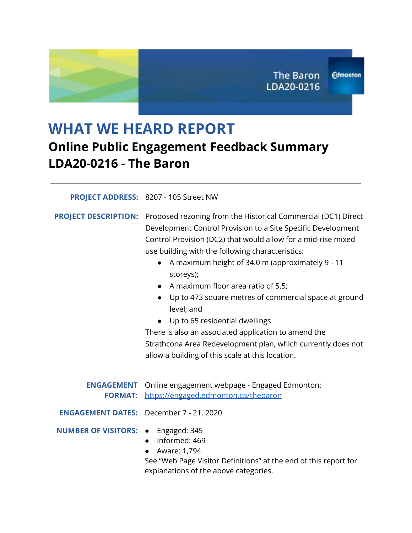# **WHAT WE HEARD REPORT Online Public Engagement Feedback Summary LDA20-0216 - The Baron**

#### **PROJECT ADDRESS:** 8207 - 105 Street NW

**PROJECT DESCRIPTION:** Proposed rezoning from the Historical Commercial (DC1) Direct Development Control Provision to a Site Specific Development Control Provision (DC2) that would allow for a mid-rise mixed use building with the following characteristics:

- A maximum height of 34.0 m (approximately 9 11 storeys);
- A maximum floor area ratio of 5.5;
- Up to 473 square metres of commercial space at ground level; and
- Up to 65 residential dwellings.

There is also an associated application to amend the Strathcona Area Redevelopment plan, which currently does not allow a building of this scale at this location.

|                                                | <b>ENGAGEMENT</b> Online engagement webpage - Engaged Edmonton:<br>FORMAT: https://engaged.edmonton.ca/thebaron                                |
|------------------------------------------------|------------------------------------------------------------------------------------------------------------------------------------------------|
| <b>ENGAGEMENT DATES:</b> December 7 - 21, 2020 |                                                                                                                                                |
| <b>NUMBER OF VISITORS: •</b> Engaged: 345      | • Informed: 469<br>• Aware: 1,794<br>See "Web Page Visitor Definitions" at the end of this report for<br>explanations of the above categories. |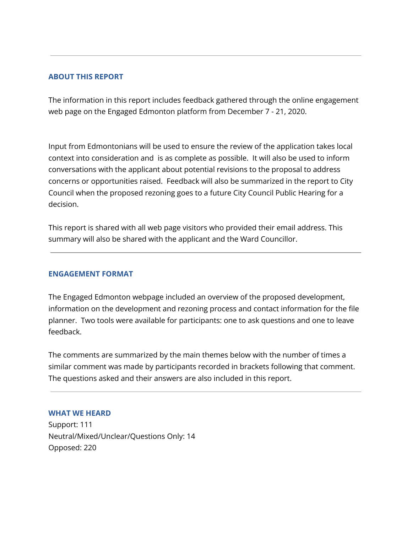#### **ABOUT THIS REPORT**

The information in this report includes feedback gathered through the online engagement web page on the Engaged Edmonton platform from December 7 - 21, 2020.

Input from Edmontonians will be used to ensure the review of the application takes local context into consideration and is as complete as possible. It will also be used to inform conversations with the applicant about potential revisions to the proposal to address concerns or opportunities raised. Feedback will also be summarized in the report to City Council when the proposed rezoning goes to a future City Council Public Hearing for a decision.

This report is shared with all web page visitors who provided their email address. This summary will also be shared with the applicant and the Ward Councillor.

#### **ENGAGEMENT FORMAT**

The Engaged Edmonton webpage included an overview of the proposed development, information on the development and rezoning process and contact information for the file planner. Two tools were available for participants: one to ask questions and one to leave feedback.

The comments are summarized by the main themes below with the number of times a similar comment was made by participants recorded in brackets following that comment. The questions asked and their answers are also included in this report.

#### **WHAT WE HEARD**

Support: 111 Neutral/Mixed/Unclear/Questions Only: 14 Opposed: 220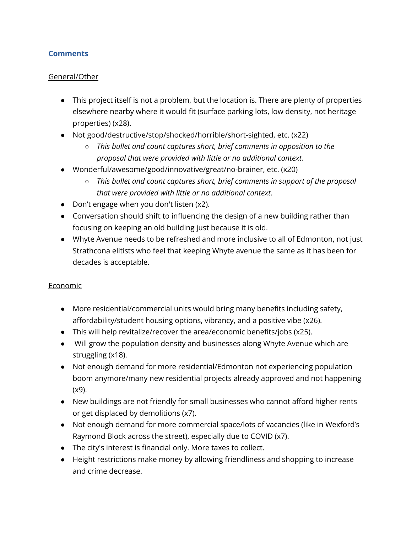# **Comments**

### General/Other

- This project itself is not a problem, but the location is. There are plenty of properties elsewhere nearby where it would fit (surface parking lots, low density, not heritage properties) (x28).
- Not good/destructive/stop/shocked/horrible/short-sighted, etc. (x22)
	- *This bullet and count captures short, brief comments in opposition to the proposal that were provided with little or no additional context.*
- Wonderful/awesome/good/innovative/great/no-brainer, etc. (x20)
	- *○ This bullet and count captures short, brief comments in support of the proposal that were provided with little or no additional context.*
- Don't engage when you don't listen (x2).
- Conversation should shift to influencing the design of a new building rather than focusing on keeping an old building just because it is old.
- Whyte Avenue needs to be refreshed and more inclusive to all of Edmonton, not just Strathcona elitists who feel that keeping Whyte avenue the same as it has been for decades is acceptable.

# Economic

- More residential/commercial units would bring many benefits including safety, affordability/student housing options, vibrancy, and a positive vibe (x26).
- This will help revitalize/recover the area/economic benefits/jobs (x25).
- Will grow the population density and businesses along Whyte Avenue which are struggling (x18).
- Not enough demand for more residential/Edmonton not experiencing population boom anymore/many new residential projects already approved and not happening (x9).
- New buildings are not friendly for small businesses who cannot afford higher rents or get displaced by demolitions (x7).
- Not enough demand for more commercial space/lots of vacancies (like in Wexford's Raymond Block across the street), especially due to COVID (x7).
- The city's interest is financial only. More taxes to collect.
- Height restrictions make money by allowing friendliness and shopping to increase and crime decrease.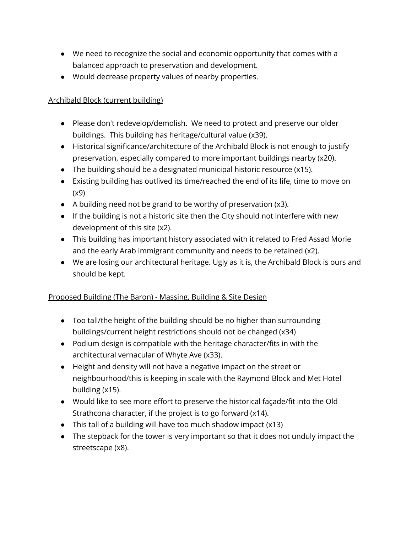- We need to recognize the social and economic opportunity that comes with a balanced approach to preservation and development.
- Would decrease property values of nearby properties.

# Archibald Block (current building)

- Please don't redevelop/demolish. We need to protect and preserve our older buildings. This building has heritage/cultural value (x39).
- Historical significance/architecture of the Archibald Block is not enough to justify preservation, especially compared to more important buildings nearby (x20).
- The building should be a designated municipal historic resource (x15).
- Existing building has outlived its time/reached the end of its life, time to move on (x9)
- A building need not be grand to be worthy of preservation (x3).
- If the building is not a historic site then the City should not interfere with new development of this site (x2).
- This building has important history associated with it related to Fred Assad Morie and the early Arab immigrant community and needs to be retained (x2).
- We are losing our architectural heritage. Ugly as it is, the Archibald Block is ours and should be kept.

# Proposed Building (The Baron) - Massing, Building & Site Design

- Too tall/the height of the building should be no higher than surrounding buildings/current height restrictions should not be changed (x34)
- Podium design is compatible with the heritage character/fits in with the architectural vernacular of Whyte Ave (x33).
- Height and density will not have a negative impact on the street or neighbourhood/this is keeping in scale with the Raymond Block and Met Hotel building (x15).
- Would like to see more effort to preserve the historical façade/fit into the Old Strathcona character, if the project is to go forward (x14).
- This tall of a building will have too much shadow impact (x13)
- The stepback for the tower is very important so that it does not unduly impact the streetscape (x8).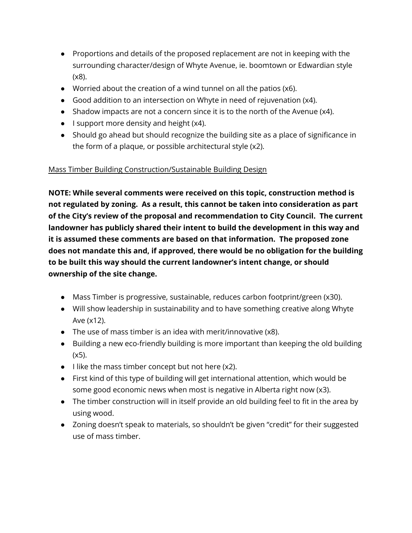- Proportions and details of the proposed replacement are not in keeping with the surrounding character/design of Whyte Avenue, ie. boomtown or Edwardian style (x8).
- Worried about the creation of a wind tunnel on all the patios (x6).
- Good addition to an intersection on Whyte in need of rejuvenation (x4).
- Shadow impacts are not a concern since it is to the north of the Avenue (x4).
- I support more density and height (x4).
- Should go ahead but should recognize the building site as a place of significance in the form of a plaque, or possible architectural style (x2).

# Mass Timber Building Construction/Sustainable Building Design

**NOTE: While several comments were received on this topic, construction method is not regulated by zoning. As a result, this cannot be taken into consideration as part of the City's review of the proposal and recommendation to City Council. The current landowner has publicly shared their intent to build the development in this way and it is assumed these comments are based on that information. The proposed zone does not mandate this and, if approved, there would be no obligation for the building to be built this way should the current landowner's intent change, or should ownership of the site change.**

- Mass Timber is progressive, sustainable, reduces carbon footprint/green (x30).
- Will show leadership in sustainability and to have something creative along Whyte Ave (x12).
- The use of mass timber is an idea with merit/innovative (x8).
- Building a new eco-friendly building is more important than keeping the old building (x5).
- $\bullet$  I like the mass timber concept but not here  $(x2)$ .
- First kind of this type of building will get international attention, which would be some good economic news when most is negative in Alberta right now (x3).
- The timber construction will in itself provide an old building feel to fit in the area by using wood.
- Zoning doesn't speak to materials, so shouldn't be given "credit" for their suggested use of mass timber.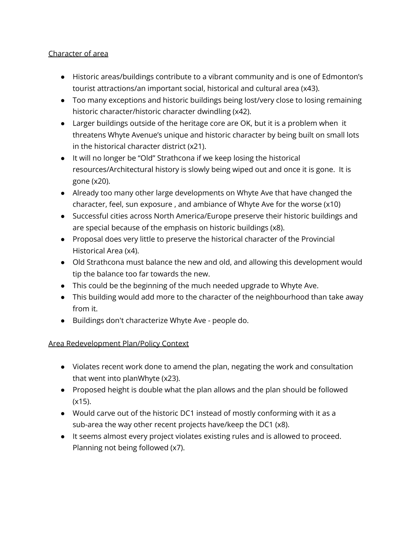# Character of area

- Historic areas/buildings contribute to a vibrant community and is one of Edmonton's tourist attractions/an important social, historical and cultural area (x43).
- Too many exceptions and historic buildings being lost/very close to losing remaining historic character/historic character dwindling (x42).
- Larger buildings outside of the heritage core are OK, but it is a problem when it threatens Whyte Avenue's unique and historic character by being built on small lots in the historical character district (x21).
- It will no longer be "Old" Strathcona if we keep losing the historical resources/Architectural history is slowly being wiped out and once it is gone. It is gone (x20).
- Already too many other large developments on Whyte Ave that have changed the character, feel, sun exposure , and ambiance of Whyte Ave for the worse (x10)
- Successful cities across North America/Europe preserve their historic buildings and are special because of the emphasis on historic buildings (x8).
- Proposal does very little to preserve the historical character of the Provincial Historical Area (x4).
- Old Strathcona must balance the new and old, and allowing this development would tip the balance too far towards the new.
- This could be the beginning of the much needed upgrade to Whyte Ave.
- This building would add more to the character of the neighbourhood than take away from it.
- Buildings don't characterize Whyte Ave people do.

# Area Redevelopment Plan/Policy Context

- Violates recent work done to amend the plan, negating the work and consultation that went into planWhyte (x23).
- Proposed height is double what the plan allows and the plan should be followed  $(x15)$ .
- Would carve out of the historic DC1 instead of mostly conforming with it as a sub-area the way other recent projects have/keep the DC1 (x8).
- It seems almost every project violates existing rules and is allowed to proceed. Planning not being followed (x7).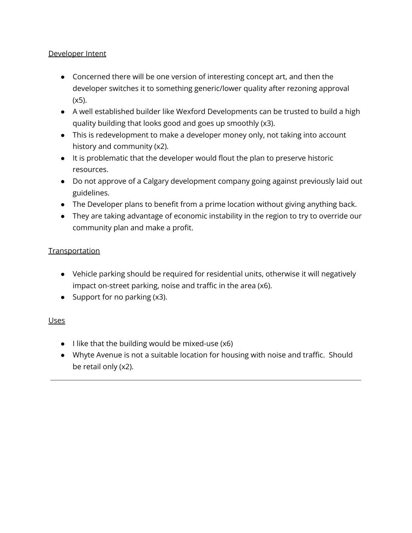## Developer Intent

- Concerned there will be one version of interesting concept art, and then the developer switches it to something generic/lower quality after rezoning approval (x5).
- A well established builder like Wexford Developments can be trusted to build a high quality building that looks good and goes up smoothly (x3).
- This is redevelopment to make a developer money only, not taking into account history and community (x2).
- It is problematic that the developer would flout the plan to preserve historic resources.
- Do not approve of a Calgary development company going against previously laid out guidelines.
- The Developer plans to benefit from a prime location without giving anything back.
- They are taking advantage of economic instability in the region to try to override our community plan and make a profit.

# **Transportation**

- Vehicle parking should be required for residential units, otherwise it will negatively impact on-street parking, noise and traffic in the area (x6).
- Support for no parking (x3).

# Uses

- I like that the building would be mixed-use (x6)
- Whyte Avenue is not a suitable location for housing with noise and traffic. Should be retail only (x2).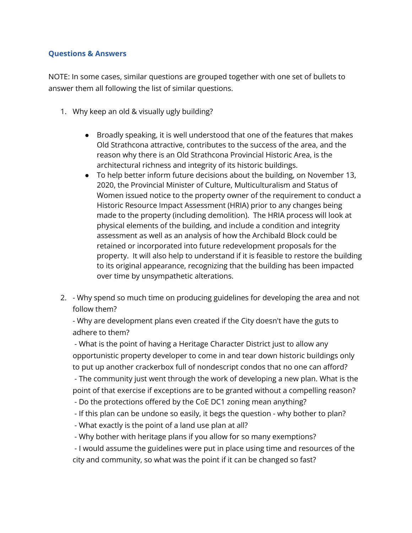#### **Questions & Answers**

NOTE: In some cases, similar questions are grouped together with one set of bullets to answer them all following the list of similar questions.

- 1. Why keep an old & visually ugly building?
	- Broadly speaking, it is well understood that one of the features that makes Old Strathcona attractive, contributes to the success of the area, and the reason why there is an Old Strathcona Provincial Historic Area, is the architectural richness and integrity of its historic buildings.
	- To help better inform future decisions about the building, on November 13, 2020, the Provincial Minister of Culture, Multiculturalism and Status of Women issued notice to the property owner of the requirement to conduct a Historic Resource Impact Assessment (HRIA) prior to any changes being made to the property (including demolition). The HRIA process will look at physical elements of the building, and include a condition and integrity assessment as well as an analysis of how the Archibald Block could be retained or incorporated into future redevelopment proposals for the property. It will also help to understand if it is feasible to restore the building to its original appearance, recognizing that the building has been impacted over time by unsympathetic alterations.
- 2. Why spend so much time on producing guidelines for developing the area and not follow them?

- Why are development plans even created if the City doesn't have the guts to adhere to them?

- What is the point of having a Heritage Character District just to allow any opportunistic property developer to come in and tear down historic buildings only to put up another crackerbox full of nondescript condos that no one can afford?

- The community just went through the work of developing a new plan. What is the point of that exercise if exceptions are to be granted without a compelling reason?

- Do the protections offered by the CoE DC1 zoning mean anything?
- If this plan can be undone so easily, it begs the question why bother to plan?
- What exactly is the point of a land use plan at all?
- Why bother with heritage plans if you allow for so many exemptions?

- I would assume the guidelines were put in place using time and resources of the city and community, so what was the point if it can be changed so fast?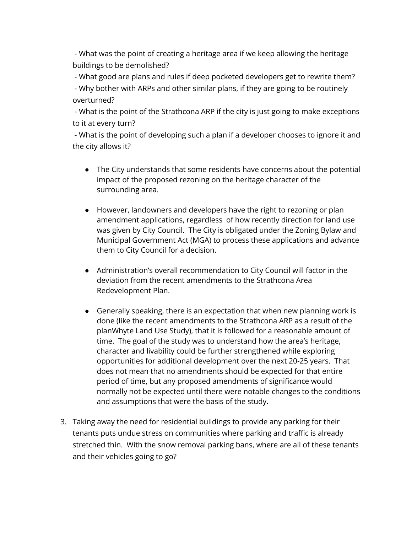- What was the point of creating a heritage area if we keep allowing the heritage buildings to be demolished?

- What good are plans and rules if deep pocketed developers get to rewrite them?

- Why bother with ARPs and other similar plans, if they are going to be routinely overturned?

- What is the point of the Strathcona ARP if the city is just going to make exceptions to it at every turn?

- What is the point of developing such a plan if a developer chooses to ignore it and the city allows it?

- The City understands that some residents have concerns about the potential impact of the proposed rezoning on the heritage character of the surrounding area.
- However, landowners and developers have the right to rezoning or plan amendment applications, regardless of how recently direction for land use was given by City Council. The City is obligated under the Zoning Bylaw and Municipal Government Act (MGA) to process these applications and advance them to City Council for a decision.
- Administration's overall recommendation to City Council will factor in the deviation from the recent amendments to the Strathcona Area Redevelopment Plan.
- Generally speaking, there is an expectation that when new planning work is done (like the recent amendments to the Strathcona ARP as a result of the planWhyte Land Use Study), that it is followed for a reasonable amount of time. The goal of the study was to understand how the area's heritage, character and livability could be further strengthened while exploring opportunities for additional development over the next 20-25 years. That does not mean that no amendments should be expected for that entire period of time, but any proposed amendments of significance would normally not be expected until there were notable changes to the conditions and assumptions that were the basis of the study.
- 3. Taking away the need for residential buildings to provide any parking for their tenants puts undue stress on communities where parking and traffic is already stretched thin. With the snow removal parking bans, where are all of these tenants and their vehicles going to go?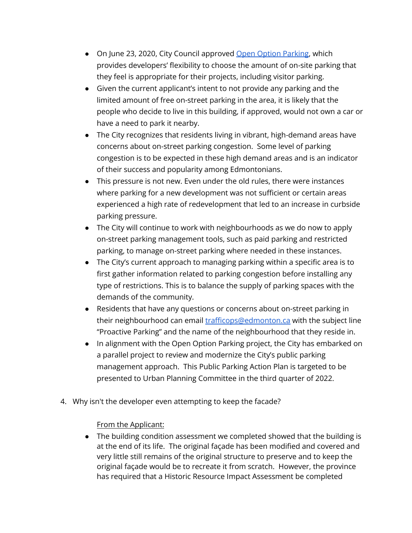- On June 23, 2020, City Council approved Open Option [Parking,](https://www.edmonton.ca/city_government/urban_planning_and_design/comprehensive-parking-review.aspx) which provides developers' flexibility to choose the amount of on-site parking that they feel is appropriate for their projects, including visitor parking.
- Given the current applicant's intent to not provide any parking and the limited amount of free on-street parking in the area, it is likely that the people who decide to live in this building, if approved, would not own a car or have a need to park it nearby.
- The City recognizes that residents living in vibrant, high-demand areas have concerns about on-street parking congestion. Some level of parking congestion is to be expected in these high demand areas and is an indicator of their success and popularity among Edmontonians.
- This pressure is not new. Even under the old rules, there were instances where parking for a new development was not sufficient or certain areas experienced a high rate of redevelopment that led to an increase in curbside parking pressure.
- The City will continue to work with neighbourhoods as we do now to apply on-street parking management tools, such as paid parking and restricted parking, to manage on-street parking where needed in these instances.
- The City's current approach to managing parking within a specific area is to first gather information related to parking congestion before installing any type of restrictions. This is to balance the supply of parking spaces with the demands of the community.
- Residents that have any questions or concerns about on-street parking in their neighbourhood can email [trafficops@edmonton.ca](mailto:trafficops@edmonton.ca) with the subject line "Proactive Parking" and the name of the neighbourhood that they reside in.
- In alignment with the Open Option Parking project, the City has embarked on a parallel project to review and modernize the City's public parking management approach. This Public Parking Action Plan is targeted to be presented to Urban Planning Committee in the third quarter of 2022.
- 4. Why isn't the developer even attempting to keep the facade?

#### From the Applicant:

● The building condition assessment we completed showed that the building is at the end of its life. The original façade has been modified and covered and very little still remains of the original structure to preserve and to keep the original façade would be to recreate it from scratch. However, the province has required that a Historic Resource Impact Assessment be completed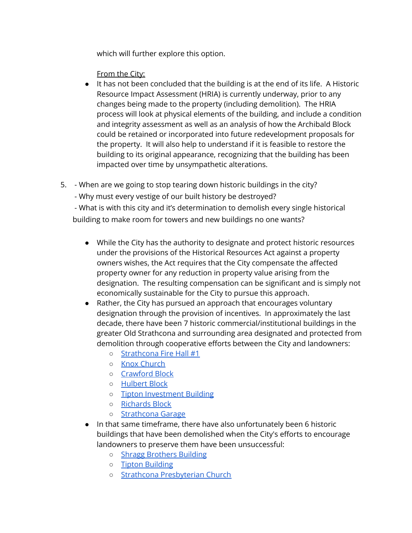which will further explore this option.

From the City:

- It has not been concluded that the building is at the end of its life. A Historic Resource Impact Assessment (HRIA) is currently underway, prior to any changes being made to the property (including demolition). The HRIA process will look at physical elements of the building, and include a condition and integrity assessment as well as an analysis of how the Archibald Block could be retained or incorporated into future redevelopment proposals for the property. It will also help to understand if it is feasible to restore the building to its original appearance, recognizing that the building has been impacted over time by unsympathetic alterations.
- 5. When are we going to stop tearing down historic buildings in the city?
	- Why must every vestige of our built history be destroyed?

- What is with this city and it's determination to demolish every single historical building to make room for towers and new buildings no one wants?

- While the City has the authority to designate and protect historic resources under the provisions of the Historical Resources Act against a property owners wishes, the Act requires that the City compensate the affected property owner for any reduction in property value arising from the designation. The resulting compensation can be significant and is simply not economically sustainable for the City to pursue this approach.
- Rather, the City has pursued an approach that encourages voluntary designation through the provision of incentives. In approximately the last decade, there have been 7 historic commercial/institutional buildings in the greater Old Strathcona and surrounding area designated and protected from demolition through cooperative efforts between the City and landowners:
	- [Strathcona](https://goo.gl/maps/wC9dy1t7Z51sQ2fh7) Fire Hall #1
	- Knox [Church](https://goo.gl/maps/XxQoq5sa9KG2q2Cx8)
	- [Crawford](https://goo.gl/maps/Ce8XigB4B9UyEpYd6) Block
	- [Hulbert](https://goo.gl/maps/J5Te363cUjM27Sf77) Block
	- Tipton [Investment](https://goo.gl/maps/6wr2JdM8a8D6VFPM8) Building
	- [Richards](https://goo.gl/maps/8Yct21shanronu9T9) Block
	- o [Strathcona](https://goo.gl/maps/6mWZCa1jKSU5yfnQA) Garage
- In that same timeframe, there have also unfortunately been 6 historic buildings that have been demolished when the City's efforts to encourage landowners to preserve them have been unsuccessful:
	- Shragg [Brothers](https://goo.gl/maps/2F56zDqt3hi7ZizS8) Building
	- Tipton [Building](https://goo.gl/maps/L5dhPcwtKq2jNY4o8)
	- Strathcona [Presbyterian](https://goo.gl/maps/k3tYhoLTB3PDgg9c7) Church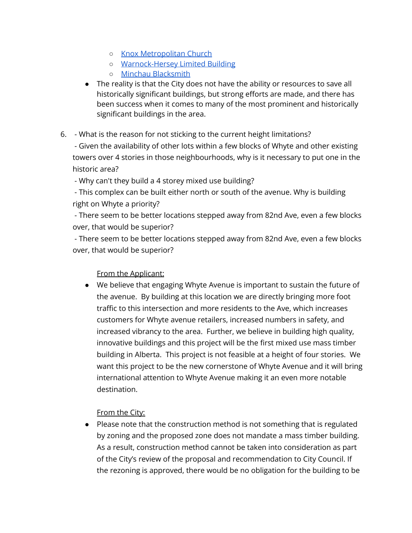- o Knox [Metropolitan](https://goo.gl/maps/ttzcABDrsqp1CeYy9) Church
- [Warnock-Hersey](https://goo.gl/maps/owgfkxZBv62DMR6z9) Limited Building
- Minchau [Blacksmith](https://goo.gl/maps/VRysdKedwvaTe9D96)
- The reality is that the City does not have the ability or resources to save all historically significant buildings, but strong efforts are made, and there has been success when it comes to many of the most prominent and historically significant buildings in the area.
- 6. What is the reason for not sticking to the current height limitations?

- Given the availability of other lots within a few blocks of Whyte and other existing towers over 4 stories in those neighbourhoods, why is it necessary to put one in the historic area?

- Why can't they build a 4 storey mixed use building?

- This complex can be built either north or south of the avenue. Why is building right on Whyte a priority?

- There seem to be better locations stepped away from 82nd Ave, even a few blocks over, that would be superior?

- There seem to be better locations stepped away from 82nd Ave, even a few blocks over, that would be superior?

# From the Applicant:

● We believe that engaging Whyte Avenue is important to sustain the future of the avenue. By building at this location we are directly bringing more foot traffic to this intersection and more residents to the Ave, which increases customers for Whyte avenue retailers, increased numbers in safety, and increased vibrancy to the area. Further, we believe in building high quality, innovative buildings and this project will be the first mixed use mass timber building in Alberta. This project is not feasible at a height of four stories. We want this project to be the new cornerstone of Whyte Avenue and it will bring international attention to Whyte Avenue making it an even more notable destination.

#### From the City:

● Please note that the construction method is not something that is regulated by zoning and the proposed zone does not mandate a mass timber building. As a result, construction method cannot be taken into consideration as part of the City's review of the proposal and recommendation to City Council. If the rezoning is approved, there would be no obligation for the building to be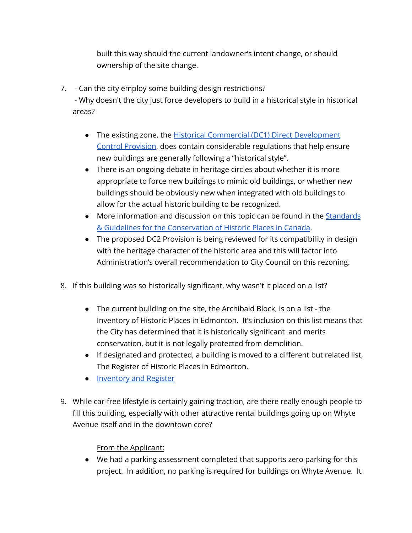built this way should the current landowner's intent change, or should ownership of the site change.

7. - Can the city employ some building design restrictions?

- Why doesn't the city just force developers to build in a historical style in historical areas?

- The existing zone, the Historical Commercial (DC1) Direct [Development](https://webdocs.edmonton.ca/InfraPlan/zoningbylaw/DC1/Strathcona/Commercial.htm) Control [Provision](https://webdocs.edmonton.ca/InfraPlan/zoningbylaw/DC1/Strathcona/Commercial.htm), does contain considerable regulations that help ensure new buildings are generally following a "historical style".
- There is an ongoing debate in heritage circles about whether it is more appropriate to force new buildings to mimic old buildings, or whether new buildings should be obviously new when integrated with old buildings to allow for the actual historic building to be recognized.
- More information and discussion on this topic can be found in the [Standards](https://www.historicplaces.ca/en/pages/standards-normes.aspx) & Guidelines for the [Conservation](https://www.historicplaces.ca/en/pages/standards-normes.aspx) of Historic Places in Canada.
- The proposed DC2 Provision is being reviewed for its compatibility in design with the heritage character of the historic area and this will factor into Administration's overall recommendation to City Council on this rezoning.
- 8. If this building was so historically significant, why wasn't it placed on a list?
	- The current building on the site, the Archibald Block, is on a list the Inventory of Historic Places in Edmonton. It's inclusion on this list means that the City has determined that it is historically significant and merits conservation, but it is not legally protected from demolition.
	- If designated and protected, a building is moved to a different but related list, The Register of Historic Places in Edmonton.
	- [Inventory](https://www.edmonton.ca/city_government/edmonton_archives/historic-resources-inventory-register.aspx) and Register
- 9. While car-free lifestyle is certainly gaining traction, are there really enough people to fill this building, especially with other attractive rental buildings going up on Whyte Avenue itself and in the downtown core?

# From the Applicant:

● We had a parking assessment completed that supports zero parking for this project. In addition, no parking is required for buildings on Whyte Avenue. It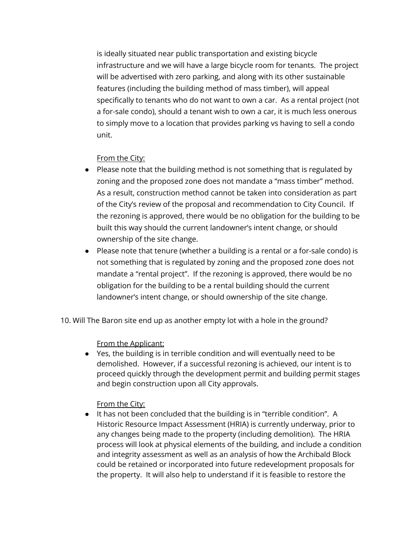is ideally situated near public transportation and existing bicycle infrastructure and we will have a large bicycle room for tenants. The project will be advertised with zero parking, and along with its other sustainable features (including the building method of mass timber), will appeal specifically to tenants who do not want to own a car. As a rental project (not a for-sale condo), should a tenant wish to own a car, it is much less onerous to simply move to a location that provides parking vs having to sell a condo unit.

## From the City:

- Please note that the building method is not something that is regulated by zoning and the proposed zone does not mandate a "mass timber" method. As a result, construction method cannot be taken into consideration as part of the City's review of the proposal and recommendation to City Council. If the rezoning is approved, there would be no obligation for the building to be built this way should the current landowner's intent change, or should ownership of the site change.
- Please note that tenure (whether a building is a rental or a for-sale condo) is not something that is regulated by zoning and the proposed zone does not mandate a "rental project". If the rezoning is approved, there would be no obligation for the building to be a rental building should the current landowner's intent change, or should ownership of the site change.

10. Will The Baron site end up as another empty lot with a hole in the ground?

From the Applicant:

● Yes, the building is in terrible condition and will eventually need to be demolished. However, if a successful rezoning is achieved, our intent is to proceed quickly through the development permit and building permit stages and begin construction upon all City approvals.

From the City:

● It has not been concluded that the building is in "terrible condition". A Historic Resource Impact Assessment (HRIA) is currently underway, prior to any changes being made to the property (including demolition). The HRIA process will look at physical elements of the building, and include a condition and integrity assessment as well as an analysis of how the Archibald Block could be retained or incorporated into future redevelopment proposals for the property. It will also help to understand if it is feasible to restore the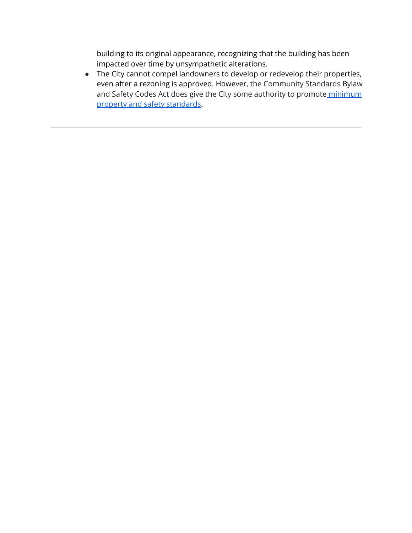building to its original appearance, recognizing that the building has been impacted over time by unsympathetic alterations.

● The City cannot compel landowners to develop or redevelop their properties, even after a rezoning is approved. However, the Community Standards Bylaw and Safety Codes Act does give the City some authority to promote [minimum](https://www.edmonton.ca/city_government/bylaws/nuisances) property and safety [standards.](https://www.edmonton.ca/city_government/bylaws/nuisances)